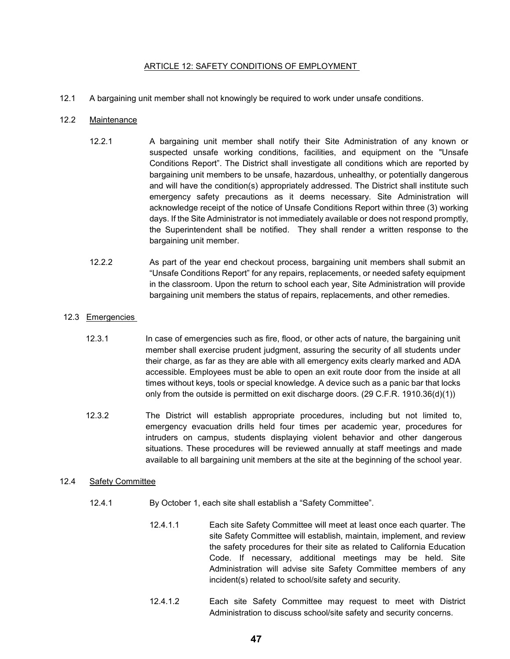## ARTICLE 12: SAFETY CONDITIONS OF EMPLOYMENT

12.1 A bargaining unit member shall not knowingly be required to work under unsafe conditions.

## 12.2 Maintenance

- 12.2.1 A bargaining unit member shall notify their Site Administration of any known or suspected unsafe working conditions, facilities, and equipment on the "Unsafe Conditions Report". The District shall investigate all conditions which are reported by bargaining unit members to be unsafe, hazardous, unhealthy, or potentially dangerous and will have the condition(s) appropriately addressed. The District shall institute such emergency safety precautions as it deems necessary. Site Administration will acknowledge receipt of the notice of Unsafe Conditions Report within three (3) working days. If the Site Administrator is not immediately available or does not respond promptly, the Superintendent shall be notified. They shall render a written response to the bargaining unit member.
- 12.2.2 As part of the year end checkout process, bargaining unit members shall submit an "Unsafe Conditions Report" for any repairs, replacements, or needed safety equipment in the classroom. Upon the return to school each year, Site Administration will provide bargaining unit members the status of repairs, replacements, and other remedies.

## 12.3 Emergencies

- 12.3.1 In case of emergencies such as fire, flood, or other acts of nature, the bargaining unit member shall exercise prudent judgment, assuring the security of all students under their charge, as far as they are able with all emergency exits clearly marked and ADA accessible. Employees must be able to open an exit route door from the inside at all times without keys, tools or special knowledge. A device such as a panic bar that locks only from the outside is permitted on exit discharge doors. (29 C.F.R. 1910.36(d)(1))
- 12.3.2 The District will establish appropriate procedures, including but not limited to, emergency evacuation drills held four times per academic year, procedures for intruders on campus, students displaying violent behavior and other dangerous situations. These procedures will be reviewed annually at staff meetings and made available to all bargaining unit members at the site at the beginning of the school year.

## 12.4 Safety Committee

- 12.4.1 By October 1, each site shall establish a "Safety Committee".
	- 12.4.1.1 Each site Safety Committee will meet at least once each quarter. The site Safety Committee will establish, maintain, implement, and review the safety procedures for their site as related to California Education Code. If necessary, additional meetings may be held. Site Administration will advise site Safety Committee members of any incident(s) related to school/site safety and security.
	- 12.4.1.2 Each site Safety Committee may request to meet with District Administration to discuss school/site safety and security concerns.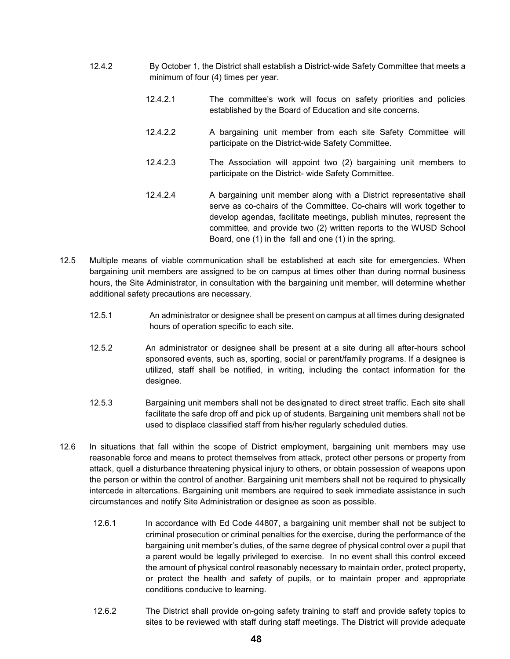- 12.4.2 By October 1, the District shall establish a District-wide Safety Committee that meets a minimum of four (4) times per year.
	- 12.4.2.1 The committee's work will focus on safety priorities and policies established by the Board of Education and site concerns.
	- 12.4.2.2 A bargaining unit member from each site Safety Committee will participate on the District-wide Safety Committee.
	- 12.4.2.3 The Association will appoint two (2) bargaining unit members to participate on the District- wide Safety Committee.
	- 12.4.2.4 A bargaining unit member along with a District representative shall serve as co-chairs of the Committee. Co-chairs will work together to develop agendas, facilitate meetings, publish minutes, represent the committee, and provide two (2) written reports to the WUSD School Board, one (1) in the fall and one (1) in the spring.
- 12.5 Multiple means of viable communication shall be established at each site for emergencies. When bargaining unit members are assigned to be on campus at times other than during normal business hours, the Site Administrator, in consultation with the bargaining unit member, will determine whether additional safety precautions are necessary.
	- 12.5.1 An administrator or designee shall be present on campus at all times during designated hours of operation specific to each site.
	- 12.5.2 An administrator or designee shall be present at a site during all after-hours school sponsored events, such as, sporting, social or parent/family programs. If a designee is utilized, staff shall be notified, in writing, including the contact information for the designee.
	- 12.5.3 Bargaining unit members shall not be designated to direct street traffic. Each site shall facilitate the safe drop off and pick up of students. Bargaining unit members shall not be used to displace classified staff from his/her regularly scheduled duties.
- 12.6 In situations that fall within the scope of District employment, bargaining unit members may use reasonable force and means to protect themselves from attack, protect other persons or property from attack, quell a disturbance threatening physical injury to others, or obtain possession of weapons upon the person or within the control of another. Bargaining unit members shall not be required to physically intercede in altercations. Bargaining unit members are required to seek immediate assistance in such circumstances and notify Site Administration or designee as soon as possible.
	- 12.6.1 In accordance with Ed Code 44807, a bargaining unit member shall not be subject to criminal prosecution or criminal penalties for the exercise, during the performance of the bargaining unit member's duties, of the same degree of physical control over a pupil that a parent would be legally privileged to exercise. In no event shall this control exceed the amount of physical control reasonably necessary to maintain order, protect property, or protect the health and safety of pupils, or to maintain proper and appropriate conditions conducive to learning.
	- 12.6.2 The District shall provide on-going safety training to staff and provide safety topics to sites to be reviewed with staff during staff meetings. The District will provide adequate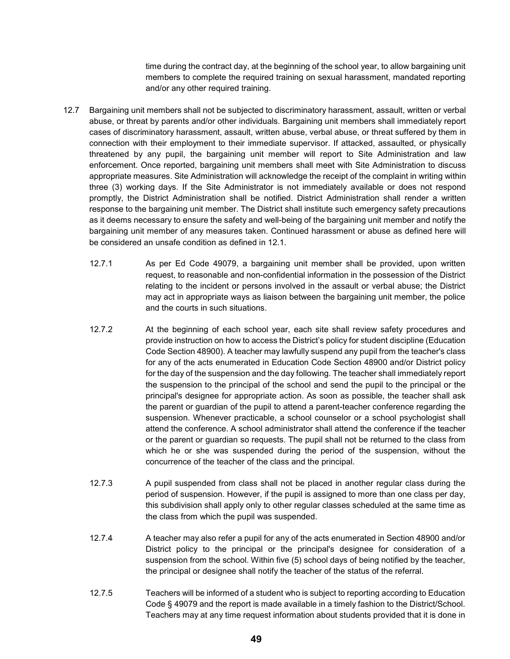time during the contract day, at the beginning of the school year, to allow bargaining unit members to complete the required training on sexual harassment, mandated reporting and/or any other required training.

- 12.7 Bargaining unit members shall not be subjected to discriminatory harassment, assault, written or verbal abuse, or threat by parents and/or other individuals. Bargaining unit members shall immediately report cases of discriminatory harassment, assault, written abuse, verbal abuse, or threat suffered by them in connection with their employment to their immediate supervisor. If attacked, assaulted, or physically threatened by any pupil, the bargaining unit member will report to Site Administration and law enforcement. Once reported, bargaining unit members shall meet with Site Administration to discuss appropriate measures. Site Administration will acknowledge the receipt of the complaint in writing within three (3) working days. If the Site Administrator is not immediately available or does not respond promptly, the District Administration shall be notified. District Administration shall render a written response to the bargaining unit member. The District shall institute such emergency safety precautions as it deems necessary to ensure the safety and well-being of the bargaining unit member and notify the bargaining unit member of any measures taken. Continued harassment or abuse as defined here will be considered an unsafe condition as defined in 12.1.
	- 12.7.1 As per Ed Code 49079, a bargaining unit member shall be provided, upon written request, to reasonable and non-confidential information in the possession of the District relating to the incident or persons involved in the assault or verbal abuse; the District may act in appropriate ways as liaison between the bargaining unit member, the police and the courts in such situations.
	- 12.7.2 At the beginning of each school year, each site shall review safety procedures and provide instruction on how to access the District's policy for student discipline (Education Code Section 48900). A teacher may lawfully suspend any pupil from the teacher's class for any of the acts enumerated in Education Code Section 48900 and/or District policy for the day of the suspension and the day following. The teacher shall immediately report the suspension to the principal of the school and send the pupil to the principal or the principal's designee for appropriate action. As soon as possible, the teacher shall ask the parent or guardian of the pupil to attend a parent-teacher conference regarding the suspension. Whenever practicable, a school counselor or a school psychologist shall attend the conference. A school administrator shall attend the conference if the teacher or the parent or guardian so requests. The pupil shall not be returned to the class from which he or she was suspended during the period of the suspension, without the concurrence of the teacher of the class and the principal.
	- 12.7.3 A pupil suspended from class shall not be placed in another regular class during the period of suspension. However, if the pupil is assigned to more than one class per day, this subdivision shall apply only to other regular classes scheduled at the same time as the class from which the pupil was suspended.
	- 12.7.4 A teacher may also refer a pupil for any of the acts enumerated in Section 48900 and/or District policy to the principal or the principal's designee for consideration of a suspension from the school. Within five (5) school days of being notified by the teacher, the principal or designee shall notify the teacher of the status of the referral.
	- 12.7.5 Teachers will be informed of a student who is subject to reporting according to Education Code § 49079 and the report is made available in a timely fashion to the District/School. Teachers may at any time request information about students provided that it is done in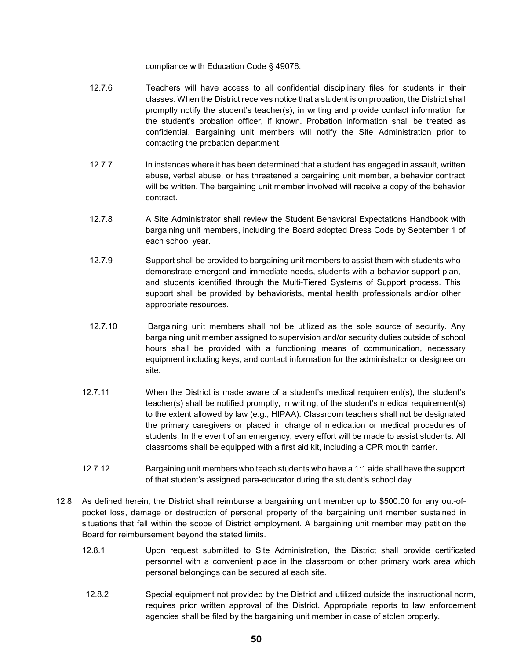compliance with Education Code § 49076.

- 12.7.6 Teachers will have access to all confidential disciplinary files for students in their classes. When the District receives notice that a student is on probation, the District shall promptly notify the student's teacher(s), in writing and provide contact information for the student's probation officer, if known. Probation information shall be treated as confidential. Bargaining unit members will notify the Site Administration prior to contacting the probation department.
- 12.7.7 In instances where it has been determined that a student has engaged in assault, written abuse, verbal abuse, or has threatened a bargaining unit member, a behavior contract will be written. The bargaining unit member involved will receive a copy of the behavior contract.
- 12.7.8 A Site Administrator shall review the Student Behavioral Expectations Handbook with bargaining unit members, including the Board adopted Dress Code by September 1 of each school year.
- 12.7.9 Support shall be provided to bargaining unit members to assist them with students who demonstrate emergent and immediate needs, students with a behavior support plan, and students identified through the Multi-Tiered Systems of Support process. This support shall be provided by behaviorists, mental health professionals and/or other appropriate resources.
- 12.7.10 Bargaining unit members shall not be utilized as the sole source of security. Any bargaining unit member assigned to supervision and/or security duties outside of school hours shall be provided with a functioning means of communication, necessary equipment including keys, and contact information for the administrator or designee on site.
- 12.7.11 When the District is made aware of a student's medical requirement(s), the student's teacher(s) shall be notified promptly, in writing, of the student's medical requirement(s) to the extent allowed by law (e.g., HIPAA). Classroom teachers shall not be designated the primary caregivers or placed in charge of medication or medical procedures of students. In the event of an emergency, every effort will be made to assist students. All classrooms shall be equipped with a first aid kit, including a CPR mouth barrier.
- 12.7.12 Bargaining unit members who teach students who have a 1:1 aide shall have the support of that student's assigned para-educator during the student's school day.
- 12.8 As defined herein, the District shall reimburse a bargaining unit member up to \$500.00 for any out-ofpocket loss, damage or destruction of personal property of the bargaining unit member sustained in situations that fall within the scope of District employment. A bargaining unit member may petition the Board for reimbursement beyond the stated limits.
	- 12.8.1 Upon request submitted to Site Administration, the District shall provide certificated personnel with a convenient place in the classroom or other primary work area which personal belongings can be secured at each site.
	- 12.8.2 Special equipment not provided by the District and utilized outside the instructional norm, requires prior written approval of the District. Appropriate reports to law enforcement agencies shall be filed by the bargaining unit member in case of stolen property.